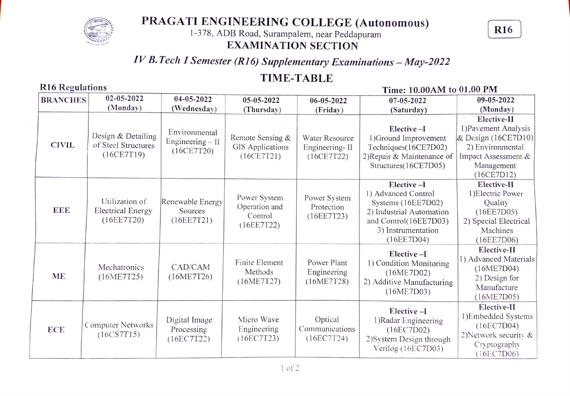

# PRAGATI ENGINEERING COLLEGE (Autonomous)<br>1-378, ADB Road, Surampalem, near Peddapuram R16

## EXAMINATION SECTION

# IV B. Tech I Semester (R16) Supplementary Examinations - May-2022

## TIME-TABLE

### Time: 10.00AM to 01.00 PM

| <b>BRANCHES</b> | $02 - 05 - 2022$                                         | 04-05-2022                                       | 05-05-2022                                             | 06-05-2022                                     | 07-05-2022                                                                                                                                       | 09-05-2022                                                                                                                        |
|-----------------|----------------------------------------------------------|--------------------------------------------------|--------------------------------------------------------|------------------------------------------------|--------------------------------------------------------------------------------------------------------------------------------------------------|-----------------------------------------------------------------------------------------------------------------------------------|
|                 | (Monday)                                                 | (Wednesday)                                      | (Thursday)                                             | (Friday)                                       | (Saturday)                                                                                                                                       | (Monday)                                                                                                                          |
| <b>CIVIL</b>    | Design & Detailing<br>of Steel Structures<br>(16CE7T19)  | Environmental<br>Engineering $-II$<br>(16CE7T20) | Remote Sensing &<br>GIS Applications<br>(16CE7T21)     | Water Resource<br>Engineering-II<br>(16CE7T22) | Elective-I<br>1) Ground Improvement<br>Techniques(16CE7D02)<br>2) Repair & Maintenance of<br>Structures(16CE7D05)                                | Elective-II<br>1) Pavement Analysis<br>& Design (16CE7D10)<br>2) Environmental<br>Impact Assessment &<br>Management<br>(16CE7D12) |
| EEE             | Utilization of<br><b>Electrical Energy</b><br>(16EETT20) | Renewable Energy<br>Sources<br>(16EETT21)        | Power System<br>Operation and<br>Control<br>(16EETT22) | Power System<br>Protection<br>(16EETT23)       | Elective-I<br>1) Advanced Control<br>Systems (16EE7D02)<br>2) Industrial Automation<br>and Control(16EE7D03)<br>3) Instrumentation<br>(16EE7D04) | Elective-II<br>1) Electric Power<br>Quality<br>(16EE7D05)<br>2) Special Electrical<br>Machines<br>(16EE7D06)                      |
| <b>ME</b>       | Mechatronics<br>(16ME7T25)                               | CAD/CAM<br>(16ME7T26)                            | Finite Element<br>Methods<br>(16ME7T27)                | Power Plant<br>Engineering<br>(16ME7T28)       | Elective-I<br>1) Condition Monitoring<br>(16ME7D02)<br>2) Additive Manufacturing<br>(16ME7D03)                                                   | Elective-II<br>1) Advanced Materials<br>(16ME7D04)<br>2) Design for<br>Manufacture<br>(16ME7D05)                                  |
| <b>ECE</b>      | Computer Networks<br>(16CSTT15)                          | Digital Image<br>Processing<br>(16EC7T22)        | Micro Wave<br>Engineering<br>(16EC7T23)                | Optical<br>Communications<br>(16EC7T24)        | Elective-I<br>1) Radar Engineering<br>(16EC7D02)<br>2) System Design through<br>Verilog (16EC7D03)                                               | Elective-II<br>1)Embedded Systems<br>(16EC7D04)<br>2) Network security $&$<br>Cryptography<br>(16EC7D06)                          |

### R16 Regulations